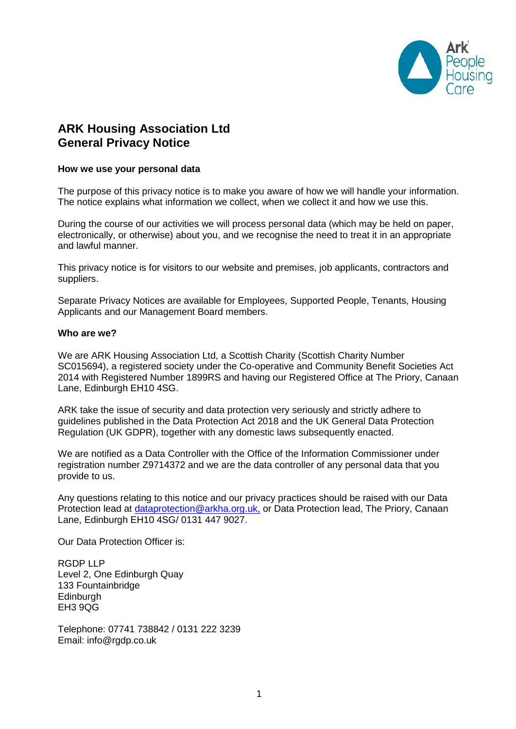

# **ARK Housing Association Ltd General Privacy Notice**

#### **How we use your personal data**

The purpose of this privacy notice is to make you aware of how we will handle your information. The notice explains what information we collect, when we collect it and how we use this.

During the course of our activities we will process personal data (which may be held on paper, electronically, or otherwise) about you, and we recognise the need to treat it in an appropriate and lawful manner.

This privacy notice is for visitors to our website and premises, job applicants, contractors and suppliers.

Separate Privacy Notices are available for Employees, Supported People, Tenants, Housing Applicants and our Management Board members.

#### **Who are we?**

We are ARK Housing Association Ltd, a Scottish Charity (Scottish Charity Number SC015694), a registered society under the Co-operative and Community Benefit Societies Act 2014 with Registered Number 1899RS and having our Registered Office at The Priory, Canaan Lane, Edinburgh EH10 4SG.

ARK take the issue of security and data protection very seriously and strictly adhere to guidelines published in the Data Protection Act 2018 and the UK General Data Protection Regulation (UK GDPR), together with any domestic laws subsequently enacted.

We are notified as a Data Controller with the Office of the Information Commissioner under registration number Z9714372 and we are the data controller of any personal data that you provide to us.

Any questions relating to this notice and our privacy practices should be raised with our Data Protection lead at [dataprotection@arkha.org.uk,](mailto:dataprotection@arkha.org.uk) or Data Protection lead, The Priory, Canaan Lane, Edinburgh EH10 4SG/ 0131 447 9027.

Our Data Protection Officer is:

RGDP LLP Level 2, One Edinburgh Quay 133 Fountainbridge **Edinburgh** EH3 9QG

Telephone: 07741 738842 / 0131 222 3239 Email: info@rgdp.co.uk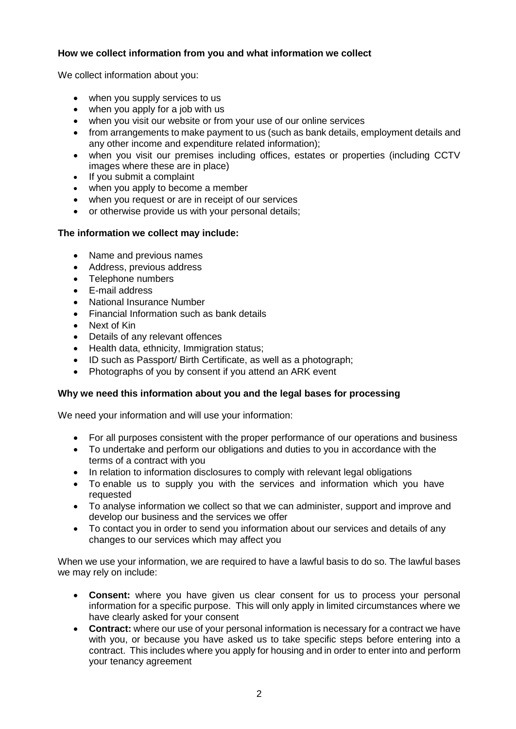## **How we collect information from you and what information we collect**

We collect information about you:

- when you supply services to us
- when you apply for a job with us
- when you visit our website or from your use of our online services
- from arrangements to make payment to us (such as bank details, employment details and any other income and expenditure related information);
- when you visit our premises including offices, estates or properties (including CCTV images where these are in place)
- If you submit a complaint
- when you apply to become a member
- when you request or are in receipt of our services
- or otherwise provide us with your personal details;

## **The information we collect may include:**

- Name and previous names
- Address, previous address
- Telephone numbers
- E-mail address
- National Insurance Number
- Financial Information such as bank details
- Next of Kin
- Details of any relevant offences
- Health data, ethnicity, Immigration status;
- ID such as Passport/ Birth Certificate, as well as a photograph;
- Photographs of you by consent if you attend an ARK event

### **Why we need this information about you and the legal bases for processing**

We need your information and will use your information:

- For all purposes consistent with the proper performance of our operations and business
- To undertake and perform our obligations and duties to you in accordance with the terms of a contract with you
- In relation to information disclosures to comply with relevant legal obligations
- To enable us to supply you with the services and information which you have requested
- To analyse information we collect so that we can administer, support and improve and develop our business and the services we offer
- To contact you in order to send you information about our services and details of any changes to our services which may affect you

When we use your information, we are required to have a lawful basis to do so. The lawful bases we may rely on include:

- **Consent:** where you have given us clear consent for us to process your personal information for a specific purpose. This will only apply in limited circumstances where we have clearly asked for your consent
- **Contract:** where our use of your personal information is necessary for a contract we have with you, or because you have asked us to take specific steps before entering into a contract. This includes where you apply for housing and in order to enter into and perform your tenancy agreement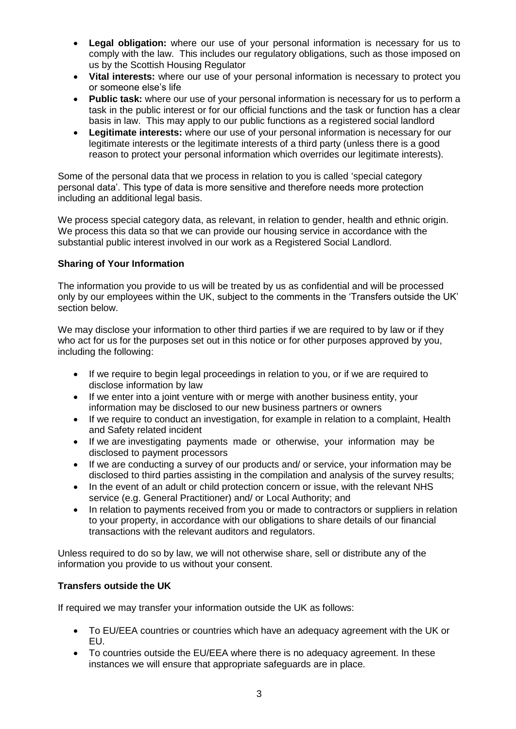- **Legal obligation:** where our use of your personal information is necessary for us to comply with the law. This includes our regulatory obligations, such as those imposed on us by the Scottish Housing Regulator
- **Vital interests:** where our use of your personal information is necessary to protect you or someone else's life
- **Public task:** where our use of your personal information is necessary for us to perform a task in the public interest or for our official functions and the task or function has a clear basis in law. This may apply to our public functions as a registered social landlord
- **Legitimate interests:** where our use of your personal information is necessary for our legitimate interests or the legitimate interests of a third party (unless there is a good reason to protect your personal information which overrides our legitimate interests).

Some of the personal data that we process in relation to you is called 'special category personal data'. This type of data is more sensitive and therefore needs more protection including an additional legal basis.

We process special category data, as relevant, in relation to gender, health and ethnic origin. We process this data so that we can provide our housing service in accordance with the substantial public interest involved in our work as a Registered Social Landlord.

## **Sharing of Your Information**

The information you provide to us will be treated by us as confidential and will be processed only by our employees within the UK, subject to the comments in the 'Transfers outside the UK' section below.

We may disclose your information to other third parties if we are required to by law or if they who act for us for the purposes set out in this notice or for other purposes approved by you, including the following:

- If we require to begin legal proceedings in relation to you, or if we are required to disclose information by law
- If we enter into a joint venture with or merge with another business entity, your information may be disclosed to our new business partners or owners
- If we require to conduct an investigation, for example in relation to a complaint, Health and Safety related incident
- If we are investigating payments made or otherwise, your information may be disclosed to payment processors
- If we are conducting a survey of our products and/ or service, your information may be disclosed to third parties assisting in the compilation and analysis of the survey results;
- In the event of an adult or child protection concern or issue, with the relevant NHS service (e.g. General Practitioner) and/ or Local Authority; and
- In relation to payments received from you or made to contractors or suppliers in relation to your property, in accordance with our obligations to share details of our financial transactions with the relevant auditors and regulators.

Unless required to do so by law, we will not otherwise share, sell or distribute any of the information you provide to us without your consent.

### **Transfers outside the UK**

If required we may transfer your information outside the UK as follows:

- To EU/EEA countries or countries which have an adequacy agreement with the UK or EU.
- To countries outside the EU/EEA where there is no adequacy agreement. In these instances we will ensure that appropriate safeguards are in place.